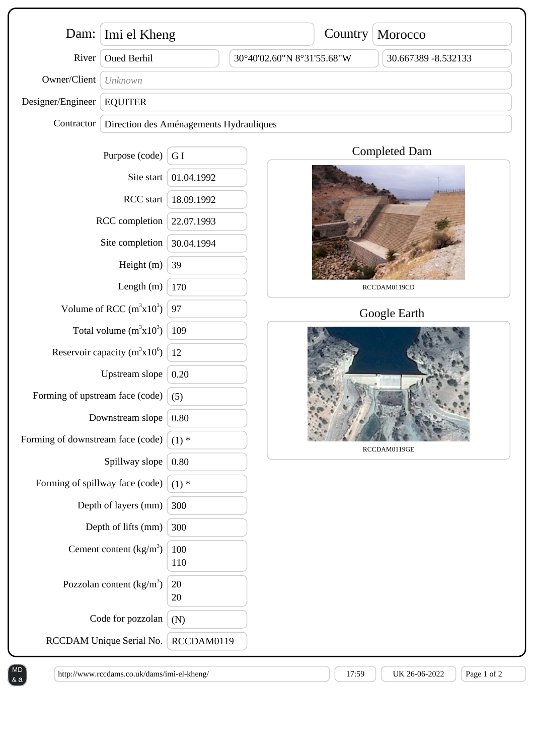| River                                                                                                                                                                                                                |                                         | Imi el Kheng<br>Dam:     |                            | Country      | Morocco              |            |  |
|----------------------------------------------------------------------------------------------------------------------------------------------------------------------------------------------------------------------|-----------------------------------------|--------------------------|----------------------------|--------------|----------------------|------------|--|
|                                                                                                                                                                                                                      | <b>Oued Berhil</b>                      |                          | 30°40'02.60"N 8°31'55.68"W |              | 30.667389 -8.532133  |            |  |
| Owner/Client                                                                                                                                                                                                         | Unknown                                 |                          |                            |              |                      |            |  |
| Designer/Engineer                                                                                                                                                                                                    | <b>EQUITER</b>                          |                          |                            |              |                      |            |  |
| Contractor                                                                                                                                                                                                           | Direction des Aménagements Hydrauliques |                          |                            |              |                      |            |  |
|                                                                                                                                                                                                                      | Purpose (code)                          | G I                      |                            |              | <b>Completed Dam</b> |            |  |
| Site start<br>RCC start<br>RCC completion                                                                                                                                                                            |                                         | 01.04.1992               |                            |              |                      |            |  |
|                                                                                                                                                                                                                      |                                         | 18.09.1992               |                            |              |                      |            |  |
|                                                                                                                                                                                                                      |                                         | 22.07.1993               |                            |              |                      |            |  |
| Site completion                                                                                                                                                                                                      |                                         | 30.04.1994               |                            |              |                      |            |  |
| Height (m)                                                                                                                                                                                                           |                                         | 39                       |                            |              |                      |            |  |
| Length $(m)$                                                                                                                                                                                                         |                                         | 170                      |                            | RCCDAM0119CD |                      |            |  |
| Volume of RCC $(m^3x10^3)$                                                                                                                                                                                           |                                         | 97                       |                            | Google Earth |                      |            |  |
| Total volume $(m^3x10^3)$<br>Reservoir capacity $(m^3x10^6)$<br>Upstream slope<br>Forming of upstream face (code)                                                                                                    |                                         | 109                      |                            |              |                      |            |  |
|                                                                                                                                                                                                                      |                                         | 12<br>0.20<br>(5)        |                            |              |                      |            |  |
|                                                                                                                                                                                                                      |                                         |                          |                            |              |                      |            |  |
|                                                                                                                                                                                                                      |                                         |                          |                            |              |                      |            |  |
| Downstream slope                                                                                                                                                                                                     |                                         | 0.80                     |                            | RCCDAM0119GE |                      |            |  |
| Forming of downstream face (code)<br>Spillway slope<br>Forming of spillway face (code)<br>Depth of layers (mm)<br>Depth of lifts (mm)<br>Cement content $(kg/m3)$<br>Pozzolan content $(kg/m3)$<br>Code for pozzolan |                                         | $(1)$ *                  |                            |              |                      |            |  |
|                                                                                                                                                                                                                      |                                         | 0.80                     |                            |              |                      |            |  |
|                                                                                                                                                                                                                      |                                         | $(1)$ *                  |                            |              |                      |            |  |
|                                                                                                                                                                                                                      |                                         | 300<br>300               |                            |              |                      |            |  |
|                                                                                                                                                                                                                      |                                         |                          |                            |              |                      | 100<br>110 |  |
|                                                                                                                                                                                                                      |                                         | 20<br>20                 |                            |              |                      |            |  |
|                                                                                                                                                                                                                      |                                         | (N)                      |                            |              |                      |            |  |
|                                                                                                                                                                                                                      |                                         | RCCDAM Unique Serial No. |                            | RCCDAM0119   |                      |            |  |

 $\mathsf{A}$ a)